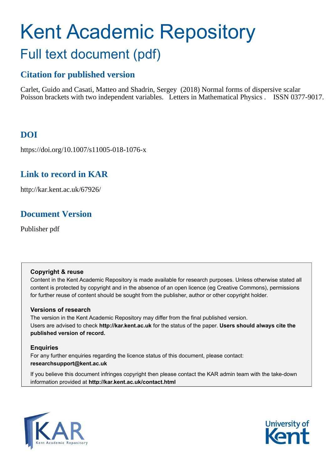# Kent Academic Repository Full text document (pdf)

# **Citation for published version**

Carlet, Guido and Casati, Matteo and Shadrin, Sergey (2018) Normal forms of dispersive scalar Poisson brackets with two independent variables. Letters in Mathematical Physics . ISSN 0377-9017.

# **DOI**

https://doi.org/10.1007/s11005-018-1076-x

# **Link to record in KAR**

http://kar.kent.ac.uk/67926/

# **Document Version**

Publisher pdf

## **Copyright & reuse**

Content in the Kent Academic Repository is made available for research purposes. Unless otherwise stated all content is protected by copyright and in the absence of an open licence (eg Creative Commons), permissions for further reuse of content should be sought from the publisher, author or other copyright holder.

## **Versions of research**

The version in the Kent Academic Repository may differ from the final published version. Users are advised to check **http://kar.kent.ac.uk** for the status of the paper. **Users should always cite the published version of record.**

## **Enquiries**

For any further enquiries regarding the licence status of this document, please contact: **researchsupport@kent.ac.uk**

If you believe this document infringes copyright then please contact the KAR admin team with the take-down information provided at **http://kar.kent.ac.uk/contact.html**



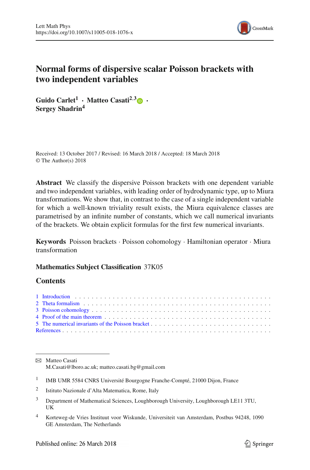

## <span id="page-1-0"></span>**Normal forms of dispersive scalar Poisson brackets with two independent variables**

**Guido Carlet<sup>1</sup>** · **Matteo Casati2**,**[3](http://orcid.org/0000-0002-2207-4807)** · **Sergey Shadrin<sup>4</sup>**

<span id="page-1-1"></span>Received: 13 October 2017 / Revised: 16 March 2018 / Accepted: 18 March 2018 © The Author(s) 2018

**Abstract** We classify the dispersive Poisson brackets with one dependent variable and two independent variables, with leading order of hydrodynamic type, up to Miura transformations. We show that, in contrast to the case of a single independent variable for which a well-known triviality result exists, the Miura equivalence classes are parametrised by an infinite number of constants, which we call numerical invariants of the brackets. We obtain explicit formulas for the first few numerical invariants.

**Keywords** Poisson brackets · Poisson cohomology · Hamiltonian operator · Miura transformation

#### **Mathematics Subject Classification** 37K05

#### **Contents**

B Matteo Casati M.Casati@lboro.ac.uk; matteo.casati.bg@gmail.com

- 1 IMB UMR 5584 CNRS Université Bourgogne Franche-Compté, 21000 Dijon, France
- 2 Istituto Nazionale d'Alta Matematica, Rome, Italy
- <sup>3</sup> Department of Mathematical Sciences, Loughborough University, Loughborough LE11 3TU, UK
- <sup>4</sup> Korteweg-de Vries Instituut voor Wiskunde, Universiteit van Amsterdam, Postbus 94248, 1090 GE Amsterdam, The Netherlands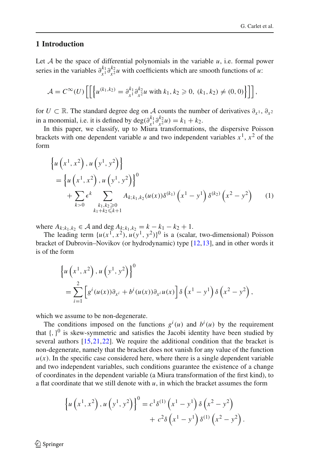#### **1 Introduction**

Let  $A$  be the space of differential polynomials in the variable  $u$ , i.e. formal power series in the variables  $\partial_{x_1}^{k_1}$  $\frac{k_1}{x_1} \frac{\partial k_2}{\partial x_2}$  $\int_{x^2}^{x^2} u$  with coefficients which are smooth functions of *u*:

<span id="page-2-1"></span><span id="page-2-0"></span>
$$
\mathcal{A} = C^{\infty}(U) \left[ \left[ \left\{ u^{(k_1, k_2)} = \partial_{x^1}^{k_1} \partial_{x^2}^{k_2} u \text{ with } k_1, k_2 \geq 0, (k_1, k_2) \neq (0, 0) \right\} \right] \right],
$$

for *U* ⊂ R. The standard degree deg on *A* counts the number of derivatives  $\partial_{x^1}$ ,  $\partial_{x^2}$ in a monomial, i.e. it is defined by deg( $\partial_{x}^{k_1} \partial_{x^2}^{k_2}$  $x_2^{k_2}u$ ) =  $k_1 + k_2$ .

In this paper, we classify, up to Miura transformations, the dispersive Poisson brackets with one dependent variable *u* and two independent variables  $x^1$ ,  $x^2$  of the form

$$
\begin{aligned} &\left\{u\left(x^{1},x^{2}\right),u\left(y^{1},y^{2}\right)\right\} \\ &=\left\{u\left(x^{1},x^{2}\right),u\left(y^{1},y^{2}\right)\right\}^{0} \\ &+\sum_{k>0} \epsilon^{k} \sum_{\substack{k_{1},k_{2}\geqslant 0\\k_{1}+k_{2}\leqslant k+1}} A_{k;k_{1},k_{2}}(u(x))\delta^{(k_{1})}\left(x^{1}-y^{1}\right)\delta^{(k_{2})}\left(x^{2}-y^{2}\right) \end{aligned} \tag{1}
$$

where  $A_{k; k_1, k_2}$  ∈  $A$  and deg  $A_{k; k_1, k_2} = k - k_1 - k_2 + 1$ .

The leading term  $\{u(x^1, x^2), u(y^1, y^2)\}$ <sup>0</sup> is a (scalar, two-dimensional) Poisson bracket of Dubrovin–Novikov (or hydrodynamic) type [\[12](#page-24-0)[,13](#page-24-1)], and in other words it is of the form

<span id="page-2-4"></span><span id="page-2-2"></span>
$$
\begin{aligned} \left\{ u\left(x^{1}, x^{2}\right), u\left(y^{1}, y^{2}\right) \right\}^{0} \\ &= \sum_{i=1}^{2} \left[ g^{i}\left(u(x)\right) \partial_{x^{i}} + b^{i}\left(u(x)\right) \partial_{x^{i}} u(x) \right] \delta\left(x^{1} - y^{1}\right) \delta\left(x^{2} - y^{2}\right), \end{aligned}
$$

<span id="page-2-3"></span>which we assume to be non-degenerate.

The conditions imposed on the functions  $g^i(u)$  and  $b^i(u)$  by the requirement that  $\{\, ,\, \}^0$  is skew-symmetric and satisfies the Jacobi identity have been studied by several authors [\[15,](#page-24-2)[21](#page-24-3)[,22](#page-24-4)]. We require the additional condition that the bracket is non-degenerate, namely that the bracket does not vanish for any value of the function  $u(x)$ . In the specific case considered here, where there is a single dependent variable and two independent variables, such conditions guarantee the existence of a change of coordinates in the dependent variable (a Miura transformation of the first kind), to a flat coordinate that we still denote with *u*, in which the bracket assumes the form

<span id="page-2-5"></span>
$$
\left\{ u\left(x^{1}, x^{2}\right), u\left(y^{1}, y^{2}\right) \right\}^{0} = c^{1} \delta^{(1)}\left(x^{1} - y^{1}\right) \delta\left(x^{2} - y^{2}\right) + c^{2} \delta\left(x^{1} - y^{1}\right) \delta^{(1)}\left(x^{2} - y^{2}\right).
$$

 $\circled{2}$  Springer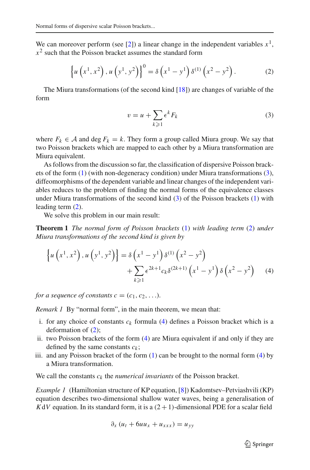We can moreover perform (see [\[2](#page-23-1)]) a linear change in the independent variables  $x<sup>1</sup>$ ,  $x<sup>2</sup>$  such that the Poisson bracket assumes the standard form

$$
\left\{ u\left(x^1, x^2\right), u\left(y^1, y^2\right) \right\}^0 = \delta\left(x^1 - y^1\right) \delta^{(1)}\left(x^2 - y^2\right). \tag{2}
$$

The Miura transformations (of the second kind [\[18\]](#page-24-5)) are changes of variable of the form

$$
v = u + \sum_{k \geqslant 1} \epsilon^k F_k \tag{3}
$$

where  $F_k \in \mathcal{A}$  and deg  $F_k = k$ . They form a group called Miura group. We say that two Poisson brackets which are mapped to each other by a Miura transformation are Miura equivalent.

<span id="page-3-0"></span>As follows from the discussion so far, the classification of dispersive Poisson brackets of the form [\(1\)](#page-1-1) (with non-degeneracy condition) under Miura transformations [\(3\)](#page-2-0), diffeomorphisms of the dependent variable and linear changes of the independent variables reduces to the problem of finding the normal forms of the equivalence classes under Miura transformations of the second kind [\(3\)](#page-2-0) of the Poisson brackets [\(1\)](#page-1-1) with leading term [\(2\)](#page-2-1).

We solve this problem in our main result:

**Theorem 1** *The normal form of Poisson brackets* [\(1\)](#page-1-1) *with leading term* [\(2\)](#page-2-1) *under Miura transformations of the second kind is given by*

$$
\left\{ u\left(x^{1}, x^{2}\right), u\left(y^{1}, y^{2}\right) \right\} = \delta\left(x^{1} - y^{1}\right) \delta^{(1)}\left(x^{2} - y^{2}\right) + \sum_{k \geqslant 1} \epsilon^{2k+1} c_{k} \delta^{(2k+1)}\left(x^{1} - y^{1}\right) \delta\left(x^{2} - y^{2}\right) \tag{4}
$$

*for a sequence of constants*  $c = (c_1, c_2, \ldots)$ *.* 

*Remark 1* By "normal form", in the main theorem, we mean that:

- i. for any choice of constants  $c_k$  formula [\(4\)](#page-2-2) defines a Poisson bracket which is a deformation of [\(2\)](#page-2-1);
- ii. two Poisson brackets of the form [\(4\)](#page-2-2) are Miura equivalent if and only if they are defined by the same constants  $c_k$ ;
- iii. and any Poisson bracket of the form [\(1\)](#page-1-1) can be brought to the normal form [\(4\)](#page-2-2) by a Miura transformation.

We call the constants *c<sup>k</sup>* the *numerical invariants* of the Poisson bracket.

*Example 1* (Hamiltonian structure of KP equation, [\[8](#page-23-2)]) Kadomtsev–Petviashvili (KP) equation describes two-dimensional shallow water waves, being a generalisation of  $K dV$  equation. In its standard form, it is a  $(2 + 1)$ -dimensional PDE for a scalar field

$$
\partial_x (u_t + 6uu_x + u_{xxx}) = u_{yy}
$$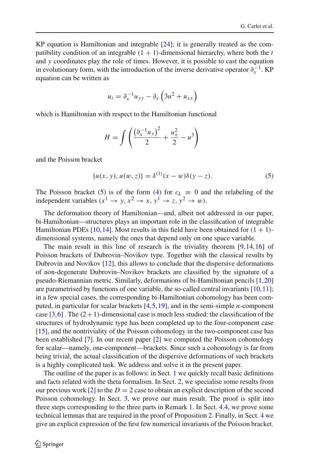<span id="page-4-0"></span>KP equation is Hamiltonian and integrable [\[24](#page-24-6)]; it is generally treated as the compatibility condition of an integrable  $(1 + 1)$ -dimensional hierarchy, where both the *t* and *y* coordinates play the role of times. However, it is possible to cast the equation in evolutionary form, with the introduction of the inverse derivative operator  $\partial_x^{-1}$ . KP equation can be written as

$$
u_t = \partial_x^{-1} u_{yy} - \partial_x \left(3u^2 + u_{xx}\right)
$$

which is Hamiltonian with respect to the Hamiltonian functional

$$
H = \int \left( \frac{\left( \partial_x^{-1} u_y \right)^2}{2} + \frac{u_x^2}{2} - u^3 \right)
$$

and the Poisson bracket

$$
\{u(x, y), u(w, z)\} = \delta^{(1)}(x - w)\delta(y - z). \tag{5}
$$

The Poisson bracket [\(5\)](#page-3-0) is of the form [\(4\)](#page-2-2) for  $c_k \equiv 0$  and the relabeling of the independent variables  $(x^1 \rightarrow y, x^2 \rightarrow x, y^1 \rightarrow z, y^2 \rightarrow w)$ .

The deformation theory of Hamiltonian—and, albeit not addressed in our paper, bi-Hamiltonian—structures plays an important role in the classification of integrable Hamiltonian PDEs [\[10,](#page-24-7)[14\]](#page-24-8). Most results in this field have been obtained for  $(1 + 1)$ dimensional systems, namely the ones that depend only on one space variable.

The main result in this line of research is the triviality theorem [\[9,](#page-24-9)[14](#page-24-8)[,16\]](#page-24-10) of Poisson brackets of Dubrovin–Novikov type. Together with the classical results by Dubrovin and Novikov [\[12](#page-24-0)], this allows to conclude that the dispersive deformations of non-degenerate Dubrovin–Novikov brackets are classified by the signature of a pseudo-Riemannian metric. Similarly, deformations of bi-Hamiltonian pencils [\[1,](#page-23-3)[20\]](#page-24-11) are parametrised by functions of one variable, the so-called central invariants  $[10,11]$  $[10,11]$ ; in a few special cases, the corresponding bi-Hamiltonian cohomology has been computed, in particular for scalar brackets [\[4](#page-23-4),[5,](#page-23-5)[19\]](#page-24-13), and in the semi-simple *n*-component case  $[3,6]$  $[3,6]$  $[3,6]$ . The  $(2+1)$ -dimensional case is much less studied: the classification of the structures of hydrodynamic type has been completed up to the four-component case [\[15](#page-24-2)], and the nontriviality of the Poisson cohomology in the two-component case has been established [\[7](#page-23-8)]. In our recent paper [\[2\]](#page-23-1) we computed the Poisson cohomology for scalar—namely, one-component—brackets. Since such a cohomology is far from being trivial, the actual classification of the dispersive deformations of such brackets is a highly complicated task. We address and solve it in the present paper.

The outline of the paper is as follows: in Sect. [1](#page-1-0) we quickly recall basic definitions and facts related with the theta formalism. In Sect. [2,](#page-4-0) we specialise some results from our previous work [\[2\]](#page-23-1) to the  $D = 2$  case to obtain an explicit description of the second Poisson cohomology. In Sect. [3,](#page-6-0) we prove our main result. The proof is split into three steps corresponding to the three parts in Remark [1.](#page-2-3) In Sect. [4.4,](#page-14-0) we prove some technical lemmas that are required in the proof of Proposition [2.](#page-12-0) Finally, in Sect. [4](#page-9-0) we give an explicit expression of the first few numerical invariants of the Poisson bracket.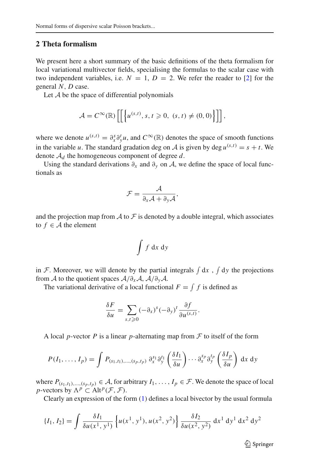#### **2 Theta formalism**

We present here a short summary of the basic definitions of the theta formalism for local variational multivector fields, specialising the formulas to the scalar case with two independent variables, i.e.  $N = 1$ ,  $D = 2$ . We refer the reader to [\[2\]](#page-23-1) for the general *N*, *D* case.

Let  $A$  be the space of differential polynomials

$$
\mathcal{A} = C^{\infty}(\mathbb{R}) \left[ \left[ \left\{ u^{(s,t)}, s, t \geq 0, (s,t) \neq (0,0) \right\} \right] \right],
$$

where we denote  $u^{(s,t)} = \partial_x^s \partial_y^t u$ , and  $C^\infty(\mathbb{R})$  denotes the space of smooth functions in the variable *u*. The standard gradation deg on A is given by deg  $u^{(s,t)} = s + t$ . We denote A*<sup>d</sup>* the homogeneous component of degree *d*.

Using the standard derivations  $\partial_x$  and  $\partial_y$  on A, we define the space of local functionals as

$$
\mathcal{F} = \frac{\mathcal{A}}{\partial_x \mathcal{A} + \partial_y \mathcal{A}},
$$

and the projection map from  $A$  to  $\mathcal F$  is denoted by a double integral, which associates to  $f \in A$  the element

$$
\int f \, \mathrm{d}x \, \mathrm{d}y
$$

in F. Moreover, we will denote by the partial integrals  $\int dx$ ,  $\int dy$  the projections from A to the quotient spaces  $A/\partial_{x}A$ ,  $A/\partial_{y}A$ .

The variational derivative of a local functional  $F = \int f$  is defined as

$$
\frac{\delta F}{\delta u} = \sum_{s,t \geqslant 0} (-\partial_x)^s (-\partial_y)^t \frac{\partial f}{\partial u^{(s,t)}}.
$$

A local *p*-vector *P* is a linear *p*-alternating map from  $F$  to itself of the form

$$
P(I_1,\ldots,I_p)=\int P_{(s_1,t_1),\ldots,(s_p,t_p)}\,\partial_x^{s_1}\partial_y^{t_1}\left(\frac{\delta I_1}{\delta u}\right)\cdots\partial_x^{s_p}\partial_y^{t_p}\left(\frac{\delta I_p}{\delta u}\right)\,\mathrm{d}x\,\mathrm{d}y
$$

where  $P_{(s_1,t_1),..., (s_p,t_p)} \in A$ , for arbitrary  $I_1,..., I_p \in \mathcal{F}$ . We denote the space of local *p*-vectors by  $\Lambda^p \subset \text{Alt}^p(\mathcal{F}, \mathcal{F})$ .

Clearly an expression of the form [\(1\)](#page-1-1) defines a local bivector by the usual formula

$$
\{I_1, I_2\} = \int \frac{\delta I_1}{\delta u(x^1, y^1)} \left\{ u(x^1, y^1), u(x^2, y^2) \right\} \frac{\delta I_2}{\delta u(x^2, y^2)} dx^1 dy^1 dx^2 dy^2
$$

 $\mathcal{D}$  Springer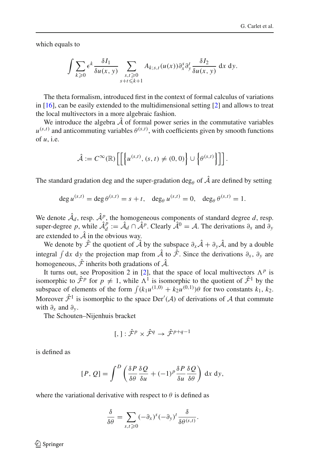which equals to

$$
\int \sum_{k\geqslant 0} \epsilon^k \frac{\delta I_1}{\delta u(x, y)} \sum_{\substack{s, t \geqslant 0 \\ s+t \leqslant k+1}} A_{k;s,t}(u(x)) \partial_x^s \partial_y^t \frac{\delta I_2}{\delta u(x, y)} dx dy.
$$

The theta formalism, introduced first in the context of formal calculus of variations in [\[16](#page-24-10)], can be easily extended to the multidimensional setting [\[2](#page-23-1)] and allows to treat the local multivectors in a more algebraic fashion.

We introduce the algebra  $\hat{A}$  of formal power series in the commutative variables  $u^{(s,t)}$  and anticommuting variables  $\theta^{(s,t)}$ , with coefficients given by smooth functions of *u*, i.e.

$$
\hat{\mathcal{A}} := C^{\infty}(\mathbb{R}) \left[ \left[ \left\{ u^{(s,t)}, (s,t) \neq (0,0) \right\} \cup \left\{ \theta^{(s,t)} \right\} \right] \right].
$$

The standard gradation deg and the super-gradation deg<sub> $\theta$ </sub> of  $\hat{\mathcal{A}}$  are defined by setting

deg  $u^{(s,t)} = \deg \theta^{(s,t)} = s + t$ , deg<sub> $\theta$ </sub>  $u^{(s,t)} = 0$ , deg<sub> $\theta$ </sub>  $\theta^{(s,t)} = 1$ .

We denote  $\hat{\mathcal{A}}_d$ , resp.  $\hat{\mathcal{A}}_i^p$ , the homogeneous components of standard degree d, resp. super-degree p, while  $\hat{\mathcal{A}}_d^p$  $\hat{A}^p$  :=  $\hat{A}_d \cap \hat{A}^p$ . Clearly  $\hat{A}^0 = A$ . The derivations  $\partial_x$  and  $\partial_y$ are extended to  $\hat{A}$  in the obvious way.

We denote by  $\hat{\mathcal{F}}$  the quotient of  $\hat{\mathcal{A}}$  by the subspace  $\partial_x \hat{\mathcal{A}} + \partial_y \hat{\mathcal{A}}$ , and by a double integral  $\int dx dy$  the projection map from  $\hat{A}$  to  $\hat{\mathcal{F}}$ . Since the derivations  $\partial_x$ ,  $\partial_y$  are homogeneous,  $\hat{\mathcal{F}}$  inherits both gradations of  $\hat{\mathcal{A}}$ .

It turns out, see Proposition 2 in [\[2\]](#page-23-1), that the space of local multivectors  $\Lambda^p$  is isomorphic to  $\hat{\mathcal{F}}^p$  for  $p \neq 1$ , while  $\Lambda^1$  is isomorphic to the quotient of  $\hat{\mathcal{F}}^1$  by the subspace of elements of the form  $\int (k_1 u^{(1,0)} + k_2 u^{(0,1)}) \theta$  for two constants  $k_1, k_2$ . Moreover  $\hat{\mathcal{F}}^1$  is isomorphic to the space  $Der'(\mathcal{A})$  of derivations of  $\mathcal A$  that commute with  $\partial_x$  and  $\partial_y$ .

<span id="page-6-0"></span>The Schouten–Nijenhuis bracket

$$
[,]: \hat{\mathcal{F}}^p \times \hat{\mathcal{F}}^q \to \hat{\mathcal{F}}^{p+q-1}
$$

is defined as

$$
[P, Q] = \int^{D} \left( \frac{\delta P}{\delta \theta} \frac{\delta Q}{\delta u} + (-1)^{p} \frac{\delta P}{\delta u} \frac{\delta Q}{\delta \theta} \right) dx dy,
$$

where the variational derivative with respect to  $\theta$  is defined as

<span id="page-6-1"></span>
$$
\frac{\delta}{\delta\theta} = \sum_{s,t\geqslant 0} (-\partial_x)^s (-\partial_y)^t \frac{\delta}{\delta\theta^{(s,t)}}.
$$

 $\circled{2}$  Springer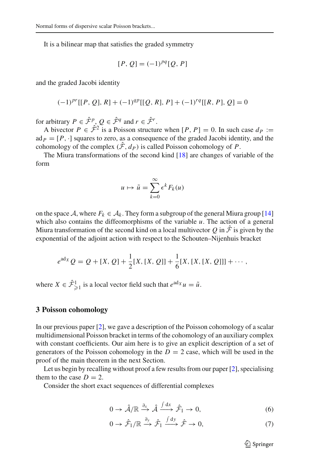It is a bilinear map that satisfies the graded symmetry

$$
[P, Q] = (-1)^{pq} [Q, P]
$$

and the graded Jacobi identity

$$
(-1)^{pr}[[P, Q], R] + (-1)^{qp}[[Q, R], P] + (-1)^{rq}[[R, P], Q] = 0
$$

for arbitrary  $P \in \hat{\mathcal{F}}^p$ ,  $Q \in \hat{\mathcal{F}}^q$  and  $r \in \hat{\mathcal{F}}^r$ .

A bivector  $P \in \hat{\mathcal{F}}^2$  is a Poisson structure when  $[P, P] = 0$ . In such case  $d_P :=$  $ad<sub>P</sub> = [P, \cdot]$  squares to zero, as a consequence of the graded Jacobi identity, and the cohomology of the complex  $(\hat{\mathcal{F}}, d_P)$  is called Poisson cohomology of *P*.

The Miura transformations of the second kind [\[18](#page-24-5)] are changes of variable of the form

$$
u \mapsto \tilde{u} = \sum_{k=0}^{\infty} \epsilon^k F_k(u)
$$

on the space A, where  $F_k \in A_k$ . They form a subgroup of the general Miura group [\[14\]](#page-24-8) which also contains the diffeomorphisms of the variable *u*. The action of a general Miura transformation of the second kind on a local multivector  $Q$  in  $\hat{\mathcal{F}}$  is given by the exponential of the adjoint action with respect to the Schouten–Nijenhuis bracket

<span id="page-7-0"></span>
$$
e^{ad_X}Q = Q + [X, Q] + \frac{1}{2}[X, [X, Q]] + \frac{1}{6}[X, [X, [X, Q]]] + \cdots,
$$

where  $X \in \hat{\mathcal{F}}_{\geq 1}^1$  is a local vector field such that  $e^{ad_X} u = \tilde{u}$ .

#### **3 Poisson cohomology**

In our previous paper [\[2\]](#page-23-1), we gave a description of the Poisson cohomology of a scalar multidimensional Poisson bracket in terms of the cohomology of an auxiliary complex with constant coefficients. Our aim here is to give an explicit description of a set of generators of the Poisson cohomology in the  $D = 2$  case, which will be used in the proof of the main theorem in the next Section.

Let us begin by recalling without proof a few results from our paper [\[2](#page-23-1)], specialising them to the case  $D = 2$ .

Consider the short exact sequences of differential complexes

<span id="page-7-1"></span>
$$
0 \to \hat{\mathcal{A}}/\mathbb{R} \xrightarrow{\partial_x} \hat{\mathcal{A}} \xrightarrow{\int dx} \hat{\mathcal{F}}_1 \to 0, \tag{6}
$$

$$
0 \to \hat{\mathcal{F}}_1/\mathbb{R} \xrightarrow{\partial_y} \hat{\mathcal{F}}_1 \xrightarrow{\int dy} \hat{\mathcal{F}} \to 0, \tag{7}
$$

 $\mathcal{L}$  Springer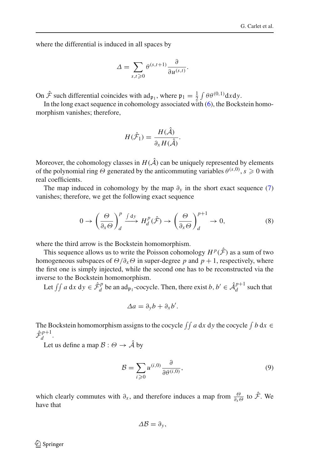where the differential is induced in all spaces by

$$
\Delta = \sum_{s,t \geqslant 0} \theta^{(s,t+1)} \frac{\partial}{\partial u^{(s,t)}}.
$$

On  $\hat{\mathcal{F}}$  such differential coincides with  $ad_{\mathfrak{p}_1}$ , where  $\mathfrak{p}_1 = \frac{1}{2} \int \theta \theta^{(0,1)} dx dy$ .

In the long exact sequence in cohomology associated with  $(6)$ , the Bockstein homomorphism vanishes; therefore,

<span id="page-8-1"></span>
$$
H(\hat{\mathcal{F}}_1) = \frac{H(\hat{\mathcal{A}})}{\partial_x H(\hat{\mathcal{A}})}.
$$

Moreover, the cohomology classes in  $H(\hat{\mathcal{A}})$  can be uniquely represented by elements of the polynomial ring  $\Theta$  generated by the anticommuting variables  $\theta^{(s,0)}$ ,  $s \geqslant 0$  with real coefficients.

The map induced in cohomology by the map  $\partial_y$  in the short exact sequence [\(7\)](#page-6-1) vanishes; therefore, we get the following exact sequence

$$
0 \to \left(\frac{\Theta}{\partial_x \Theta}\right)^p_d \xrightarrow{f dy} H_d^p(\hat{\mathcal{F}}) \to \left(\frac{\Theta}{\partial_x \Theta}\right)^{p+1}_d \to 0,
$$
 (8)

where the third arrow is the Bockstein homomorphism.

This sequence allows us to write the Poisson cohomology  $H^p(\hat{\mathcal{F}})$  as a sum of two homogeneous subspaces of  $\Theta/\partial_x\Theta$  in super-degree *p* and  $p + 1$ , respectively, where the first one is simply injected, while the second one has to be reconstructed via the inverse to the Bockstein homomorphism.

Let  $\iint a \, dx \, dy \in \hat{\mathcal{F}}_d^p$  $d_d$  be an ad<sub>p<sub>1</sub></sub>-cocycle. Then, there exist *b*,  $b' \in \hat{\mathcal{A}}_d^{p+1}$  $\frac{p+1}{d}$  such that

<span id="page-8-2"></span>
$$
\Delta a = \partial_y b + \partial_x b'.
$$

The Bockstein homomorphism assigns to the cocycle  $\iint a dx dy$  the cocycle  $\int b dx \in$  $\hat{\mathcal{F}}^{p+1}_{\scriptscriptstyle{J}}$  $d \overline{d}$ .

Let us define a map  $\mathcal{B}:\Theta\rightarrow\hat{\mathcal{A}}$  by

<span id="page-8-0"></span>
$$
\mathcal{B} = \sum_{i \ge 0} u^{(i,0)} \frac{\partial}{\partial \theta^{(i,0)}},\tag{9}
$$

which clearly commutes with  $\partial_x$ , and therefore induces a map from  $\frac{\partial}{\partial x \partial}$  to  $\hat{\mathcal{F}}$ . We have that

$$
\Delta \mathcal{B} = \partial_y,
$$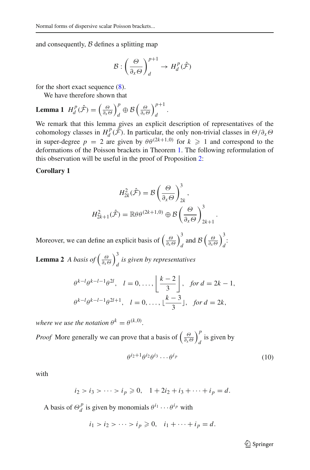and consequently,  $\beta$  defines a splitting map

<span id="page-9-1"></span>
$$
\mathcal{B}:\left(\frac{\Theta}{\partial_x \Theta}\right)^{p+1}_d \to H^p_d(\hat{\mathcal{F}})
$$

for the short exact sequence [\(8\)](#page-7-0).

We have therefore shown that

**Lemma 1** 
$$
H_d^p(\hat{\mathcal{F}}) = \left(\frac{\Theta}{\partial_x \Theta}\right)_d^p \oplus \mathcal{B}\left(\frac{\Theta}{\partial_x \Theta}\right)_d^{p+1}.
$$

We remark that this lemma gives an explicit description of representatives of the cohomology classes in  $H_d^p$  $d^{p}(\hat{\mathcal{F}})$ . In particular, the only non-trivial classes in  $\Theta/\partial_{x}\Theta$ in super-degree  $p = 2$  are given by  $\theta \theta^{(2k+1,0)}$  for  $k \geq 1$  and correspond to the deformations of the Poisson brackets in Theorem [1.](#page-2-4) The following reformulation of this observation will be useful in the proof of Proposition [2:](#page-12-0)

#### **Corollary 1**

$$
H_{2k}^{2}(\hat{\mathcal{F}}) = \mathcal{B}\left(\frac{\Theta}{\partial_{x}\Theta}\right)_{2k}^{3},
$$

$$
H_{2k+1}^{2}(\hat{\mathcal{F}}) = \mathbb{R}\theta\theta^{(2k+1,0)} \oplus \mathcal{B}\left(\frac{\Theta}{\partial_{x}\Theta}\right)_{2k+1}^{3}.
$$

<span id="page-9-0"></span>Moreover, we can define an explicit basis of Θ ∂*x*Θ  $\lambda^3$  $\frac{\partial}{\partial t}$  and  $\mathcal{B}\left(\frac{\partial}{\partial x}\right)$  $\lambda^3$ *d* :

**Lemma 2** *A basis of*  $\left(\frac{\Theta}{\partial x}\right)$  $\lambda^3$ *d is given by representatives*

<span id="page-9-3"></span>
$$
\theta^{k-l}\theta^{k-l-1}\theta^{2l}, \quad l=0,\ldots, \left\lfloor \frac{k-2}{3} \right\rfloor, \quad \text{for } d=2k-1,
$$
\n
$$
\theta^{k-l}\theta^{k-l-1}\theta^{2l+1}, \quad l=0,\ldots, \lfloor \frac{k-3}{3} \rfloor, \quad \text{for } d=2k,
$$

where we use the notation  $\theta^k = \theta^{(k,0)}$ .

*Proof* More generally we can prove that a basis of  $\left(\frac{\Theta}{\partial x \Theta}\right)$  $\lambda^p$  $\int_{d}$  is given by

<span id="page-9-2"></span>
$$
\theta^{i_2+1}\theta^{i_2}\theta^{i_3}\cdots\theta^{i_p} \tag{10}
$$

with

$$
i_2 > i_3 > \cdots > i_p \geq 0
$$
,  $1 + 2i_2 + i_3 + \cdots + i_p = d$ .

A basis of  $\Theta_d^p$  $\theta_d^{\{p\}}$  is given by monomials  $\theta^{i_1} \cdots \theta^{i_p}$  with

$$
i_1 > i_2 > \cdots > i_p \geq 0, \quad i_1 + \cdots + i_p = d.
$$

 $\mathcal{D}$  Springer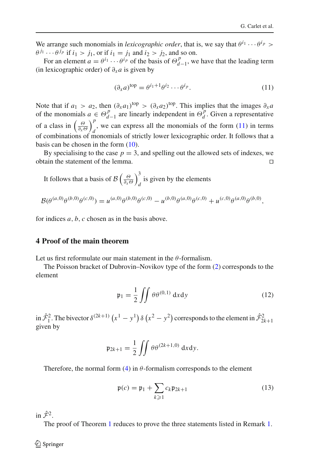We arrange such monomials in *lexicographic order*, that is, we say that  $\theta^{i_1} \cdots \theta^{i_p}$  $\theta^{j_1} \cdots \theta^{j_p}$  if  $i_1 > j_1$ , or if  $i_1 = j_1$  and  $i_2 > j_2$ , and so on.

For an element  $a = \theta^{i_1} \cdots \theta^{i_p}$  of the basis of  $\Theta_d^p$  $\frac{p}{d-1}$ , we have that the leading term (in lexicographic order) of  $\partial_x a$  is given by

$$
(\partial_x a)^{\text{top}} = \theta^{i_1 + 1} \theta^{i_2} \cdots \theta^{i_p}.
$$
 (11)

Note that if  $a_1 > a_2$ , then  $(\partial_x a_1)^{top} > (\partial_x a_2)^{top}$ . This implies that the images  $\partial_x a_2$ of the monomials  $a \in \Theta_d^p$  $\begin{bmatrix} p \\ q \end{bmatrix}$  are linearly independent in  $\Theta_d^p$  $d$ . Given a representative of a class in  $\left(\frac{\Theta}{\partial x \Theta}\right)$ *p* , we can express all the monomials of the form  $(11)$  in terms of combinations of monomials of strictly lower lexicographic order. It follows that a basis can be chosen in the form [\(10\)](#page-8-0).

By specialising to the case  $p = 3$ , and spelling out the allowed sets of indexes, we obtain the statement of the lemma. ⊓⊔

It follows that a basis of 
$$
\mathcal{B}\left(\frac{\Theta}{\partial x^{\Theta}}\right)_d^3
$$
 is given by the elements  
\n
$$
\mathcal{B}(\theta^{(a,0)}\theta^{(b,0)}\theta^{(c,0)}) = u^{(a,0)}\theta^{(b,0)}\theta^{(c,0)} - u^{(b,0)}\theta^{(a,0)}\theta^{(c,0)} + u^{(c,0)}\theta^{(a,0)}\theta^{(b,0)},
$$

for indices *a*, *b*, *c* chosen as in the basis above.

#### **4 Proof of the main theorem**

Let us first reformulate our main statement in the  $\theta$ -formalism.

The Poisson bracket of Dubrovin–Novikov type of the form [\(2\)](#page-2-1) corresponds to the element

$$
\mathfrak{p}_1 = \frac{1}{2} \iint \theta \theta^{(0,1)} \, \mathrm{d}x \mathrm{d}y \tag{12}
$$

in  $\hat{\mathcal{F}}_1^2$ . The bivector  $\delta^{(2k+1)}(x^1-y^1)\delta(x^2-y^2)$  corresponds to the element in  $\hat{\mathcal{F}}_{2k+1}^2$ given by

$$
\mathfrak{p}_{2k+1} = \frac{1}{2} \iint \theta \theta^{(2k+1,0)} dx dy.
$$

Therefore, the normal form  $(4)$  in  $\theta$ -formalism corresponds to the element

<span id="page-10-0"></span>
$$
\mathfrak{p}(c) = \mathfrak{p}_1 + \sum_{k \geqslant 1} c_k \mathfrak{p}_{2k+1} \tag{13}
$$

in  $\hat{\mathcal{F}}^2$ .

The proof of Theorem [1](#page-2-4) reduces to prove the three statements listed in Remark [1.](#page-2-3)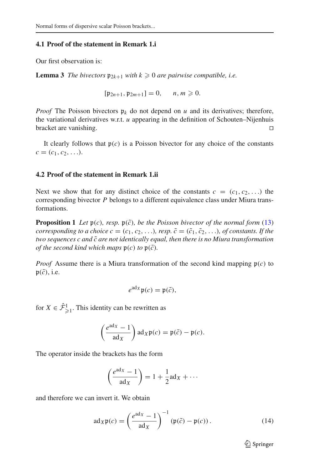#### **4.1 Proof of the statement in Remark 1.i**

Our first observation is:

**Lemma 3** *The bivectors*  $\mathfrak{p}_{2k+1}$  *with*  $k \geqslant 0$  *are pairwise compatible, i.e.* 

<span id="page-11-1"></span><span id="page-11-0"></span>
$$
[\mathfrak{p}_{2n+1}, \mathfrak{p}_{2m+1}] = 0, \quad n, m \geq 0.
$$

*Proof* The Poisson bivectors  $\mathfrak{p}_k$  do not depend on *u* and its derivatives; therefore, the variational derivatives w.r.t. *u* appearing in the definition of Schouten–Nijenhuis bracket are vanishing. ⊓⊔

It clearly follows that  $p(c)$  is a Poisson bivector for any choice of the constants  $c = (c_1, c_2, \ldots).$ 

#### **4.2 Proof of the statement in Remark 1.ii**

Next we show that for any distinct choice of the constants  $c = (c_1, c_2, \ldots)$  the corresponding bivector *P* belongs to a different equivalence class under Miura transformations.

<span id="page-11-3"></span>**Proposition 1** Let  $\mathfrak{p}(c)$ *, resp.*  $\mathfrak{p}(\tilde{c})$ *, be the Poisson bivector of the normal form* [\(13\)](#page-9-2) *corresponding to a choice*  $c = (c_1, c_2, \ldots)$ *, resp.*  $\tilde{c} = (\tilde{c}_1, \tilde{c}_2, \ldots)$ *, of constants. If the two sequences c and c are not identically equal, then there is no Miura transformation* ˜ *of the second kind which maps*  $\mathfrak{p}(c)$  *to*  $\mathfrak{p}(\tilde{c})$ *.* 

*Proof* Assume there is a Miura transformation of the second kind mapping  $\mathfrak{p}(c)$  to  $\mathfrak{p}(\tilde{c})$ , i.e.

$$
e^{\mathrm{ad}_{X}}\mathfrak{p}(c)=\mathfrak{p}(\tilde{c}),
$$

for  $X \in \hat{\mathcal{F}}^1_{\geq 1}$ . This identity can be rewritten as

<span id="page-11-2"></span>
$$
\left(\frac{e^{\mathrm{ad}_X}-1}{\mathrm{ad}_X}\right)\mathrm{ad}_X\mathfrak{p}(c)=\mathfrak{p}(\tilde{c})-\mathfrak{p}(c).
$$

The operator inside the brackets has the form

$$
\left(\frac{e^{ad_X}-1}{ad_X}\right) = 1 + \frac{1}{2}ad_X + \cdots
$$

and therefore we can invert it. We obtain

$$
ad_X \mathfrak{p}(c) = \left(\frac{e^{ad_X} - 1}{ad_X}\right)^{-1} (\mathfrak{p}(\tilde{c}) - \mathfrak{p}(c)).
$$
 (14)

 $\mathcal{D}$  Springer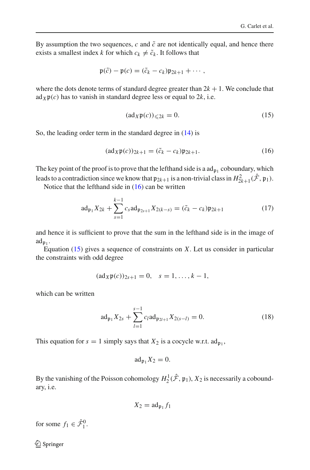By assumption the two sequences,  $c$  and  $\tilde{c}$  are not identically equal, and hence there exists a smallest index *k* for which  $c_k \neq \tilde{c}_k$ . It follows that

<span id="page-12-1"></span>
$$
\mathfrak{p}(\tilde{c})-\mathfrak{p}(c)=(\tilde{c}_k-c_k)\mathfrak{p}_{2k+1}+\cdots,
$$

where the dots denote terms of standard degree greater than  $2k + 1$ . We conclude that ad $_X$  $p(c)$  has to vanish in standard degree less or equal to 2k, i.e.

$$
(\mathrm{ad}_X \mathfrak{p}(c))_{\leqslant 2k} = 0. \tag{15}
$$

So, the leading order term in the standard degree in [\(14\)](#page-10-0) is

$$
(\mathrm{ad}_X \mathfrak{p}(c))_{2k+1} = (\tilde{c}_k - c_k) \mathfrak{p}_{2k+1}.
$$
\n(16)

The key point of the proof is to prove that the lefthand side is a  $\text{ad}_{\mathfrak{p}_1}$  coboundary, which leads to a contradiction since we know that  $\mathfrak{p}_{2k+1}$  is a non-trivial class in  $H^2_{2k+1}(\hat{\mathcal{F}}, \mathfrak{p}_1)$ .

Notice that the lefthand side in  $(16)$  can be written

$$
\operatorname{ad}_{\mathfrak{p}_1} X_{2k} + \sum_{s=1}^{k-1} c_s \operatorname{ad}_{\mathfrak{p}_{2s+1}} X_{2(k-s)} = (\tilde{c}_k - c_k) \mathfrak{p}_{2k+1} \tag{17}
$$

and hence it is sufficient to prove that the sum in the lefthand side is in the image of  $\mathrm{ad}_{\mathfrak{p}_1}$ .

Equation [\(15\)](#page-11-1) gives a sequence of constraints on *X*. Let us consider in particular the constraints with odd degree

<span id="page-12-2"></span>
$$
(\text{ad}_X \mathfrak{p}(c))_{2s+1} = 0, \quad s = 1, \dots, k-1,
$$

which can be written

$$
ad_{\mathfrak{p}_1} X_{2s} + \sum_{l=1}^{s-1} c_l ad_{\mathfrak{p}_{2l+1}} X_{2(s-l)} = 0.
$$
 (18)

This equation for  $s = 1$  simply says that  $X_2$  is a cocycle w.r.t.  $ad_{\mathfrak{p}_1}$ ,

$$
\mathrm{ad}_{\mathfrak{p}_1}X_2=0.
$$

By the vanishing of the Poisson cohomology  $H_2^1(\hat{\mathcal{F}}, \mathfrak{p}_1)$ ,  $X_2$  is necessarily a coboundary, i.e.

<span id="page-12-0"></span>
$$
X_2 = \operatorname{ad}_{\mathfrak{p}_1} f_1
$$

for some  $f_1 \in \hat{\mathcal{F}}_1^0$ .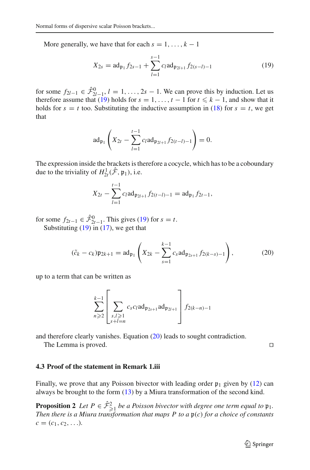More generally, we have that for each  $s = 1, \ldots, k - 1$ 

$$
X_{2s} = \operatorname{ad}_{\mathfrak{p}_1} f_{2s-1} + \sum_{l=1}^{s-1} c_l \operatorname{ad}_{\mathfrak{p}_{2l+1}} f_{2(s-l)-1}
$$
(19)

for some  $f_{2l-1} \in \hat{\mathcal{F}}_{2l-1}^0$ ,  $l = 1, ..., 2s - 1$ . We can prove this by induction. Let us therefore assume that [\(19\)](#page-12-1) holds for  $s = 1, \ldots, t - 1$  for  $t \le k - 1$ , and show that it holds for  $s = t$  too. Substituting the inductive assumption in [\(18\)](#page-11-2) for  $s = t$ , we get that

$$
\mathrm{ad}_{\mathfrak{p}_1}\left(X_{2t}-\sum_{l=1}^{t-1}c_l\mathrm{ad}_{\mathfrak{p}_{2l+1}}f_{2(t-l)-1}\right)=0.
$$

The expression inside the brackets is therefore a cocycle, which has to be a coboundary due to the triviality of  $H^1_{2t}(\hat{\mathcal{F}}, \mathfrak{p}_1)$ , i.e.

<span id="page-13-0"></span>
$$
X_{2t} - \sum_{l=1}^{t-1} c_l a d_{\mathfrak{p}_{2l+1}} f_{2(t-l)-1} = a d_{\mathfrak{p}_1} f_{2t-1},
$$

for some  $f_{2t-1} \in \hat{\mathcal{F}}_{2t-1}^0$ . This gives [\(19\)](#page-12-1) for  $s = t$ . Substituting  $(19)$  in  $(17)$ , we get that

$$
(\tilde{c}_k - c_k)\mathfrak{p}_{2k+1} = \mathrm{ad}_{\mathfrak{p}_1} \left( X_{2k} - \sum_{s=1}^{k-1} c_s \mathrm{ad}_{\mathfrak{p}_{2s+1}} f_{2(k-s)-1} \right),\tag{20}
$$

up to a term that can be written as

$$
\sum_{n\geqslant 2}^{k-1}\left[\sum_{\substack{s,l\geqslant 1\\s+l=n}}c_sc_lad_{\mathfrak{p}_{2s+1}}ad_{\mathfrak{p}_{2l+1}}\right]f_{2(k-n)-1}
$$

and therefore clearly vanishes. Equation [\(20\)](#page-12-2) leads to sought contradiction.

The Lemma is proved. □

#### **4.3 Proof of the statement in Remark 1.iii**

Finally, we prove that any Poisson bivector with leading order  $p_1$  given by [\(12\)](#page-9-3) can always be brought to the form  $(13)$  by a Miura transformation of the second kind.

<span id="page-13-1"></span>**Proposition 2** Let  $P \in \hat{\mathcal{F}}_{\geq 1}^2$  be a Poisson bivector with degree one term equal to  $\mathfrak{p}_1$ . *Then there is a Miura transformation that maps P to a* p(*c*) *for a choice of constants*  $c = (c_1, c_2, \ldots).$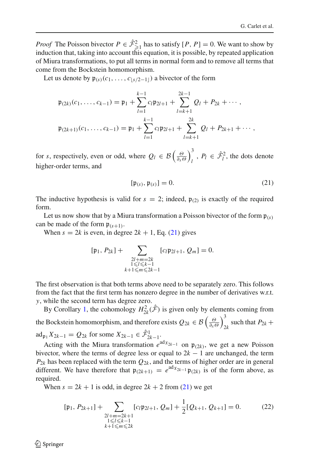*Proof* The Poisson bivector  $P \in \hat{\mathcal{F}}_{\geq 1}^2$  has to satisfy  $[P, P] = 0$ . We want to show by induction that, taking into account this equation, it is possible, by repeated application of Miura transformations, to put all terms in normal form and to remove all terms that come from the Bockstein homomorphism.

Let us denote by  $\mathfrak{p}_{(s)}(c_1,\ldots,c_{|s/2-1|})$  a bivector of the form

$$
\mathfrak{p}_{(2k)}(c_1,\ldots,c_{k-1}) = \mathfrak{p}_1 + \sum_{l=1}^{k-1} c_l \mathfrak{p}_{2l+1} + \sum_{l=k+1}^{2k-1} Q_l + P_{2k} + \cdots,
$$
  

$$
\mathfrak{p}_{(2k+1)}(c_1,\ldots,c_{k-1}) = \mathfrak{p}_1 + \sum_{l=1}^{k-1} c_l \mathfrak{p}_{2l+1} + \sum_{l=k+1}^{2k} Q_l + P_{2k+1} + \cdots,
$$

for *s*, respectively, even or odd, where  $Q_l \in \mathcal{B}\left(\frac{\Theta}{\partial x \Theta}\right)$  $\lambda^3$  $\hat{P}_l$ ,  $P_l \in \hat{\mathcal{F}}_l^2$ , the dots denote higher-order terms, and

$$
[\mathfrak{p}_{(s)}, \mathfrak{p}_{(s)}] = 0. \tag{21}
$$

The inductive hypothesis is valid for  $s = 2$ ; indeed,  $\mathfrak{p}_{(2)}$  is exactly of the required form.

Let us now show that by a Miura transformation a Poisson bivector of the form  $\mathfrak{p}_{(s)}$ can be made of the form  $\mathfrak{p}_{(s+1)}$ .

<span id="page-14-0"></span>When  $s = 2k$  is even, in degree  $2k + 1$ , Eq. [\(21\)](#page-13-0) gives

$$
[\mathfrak{p}_1, P_{2k}] + \sum_{\substack{2l+m=2k\\1\leq l\leq k-1\\k+1\leq m\leq 2k-1}} [c_l \mathfrak{p}_{2l+1}, Q_m] = 0.
$$

<span id="page-14-1"></span>The first observation is that both terms above need to be separately zero. This follows from the fact that the first term has nonzero degree in the number of derivatives w.r.t. *y*, while the second term has degree zero.

By Corollary [1,](#page-8-1) the cohomology  $H_{2k}^2(\hat{\mathcal{F}})$  is given only by elements coming from the Bockstein homomorphism, and therefore exists  $Q_{2k} \in \mathcal{B}\left(\frac{\Theta}{\partial x \Theta}\right)$  $\lambda^3$  $2k$  such that  $P_{2k}$  +  $\text{ad}_{\mathfrak{p}_1} X_{2k-1} = Q_{2k}$  for some  $X_{2k-1} \in \hat{\mathcal{F}}^1_{2k-1}.$ 

Acting with the Miura transformation  $e^{ad_{X_{2k-1}}}$  on  $\mathfrak{p}_{(2k)}$ , we get a new Poisson bivector, where the terms of degree less or equal to  $2k - 1$  are unchanged, the term  $P_{2k}$  has been replaced with the term  $Q_{2k}$ , and the terms of higher order are in general different. We have therefore that  $p_{(2k+1)} = e^{ad_{X_{2k-1}}} p_{(2k)}$  is of the form above, as required.

When  $s = 2k + 1$  is odd, in degree  $2k + 2$  from [\(21\)](#page-13-0) we get

<span id="page-14-2"></span>
$$
[\mathfrak{p}_1, P_{2k+1}] + \sum_{\substack{2l+m=2k+1\\1\le l\le k-1\\k+1\le m\le 2k}} [c_l \mathfrak{p}_{2l+1}, Q_m] + \frac{1}{2} [Q_{k+1}, Q_{k+1}] = 0.
$$
 (22)

 $\mathcal{L}$  Springer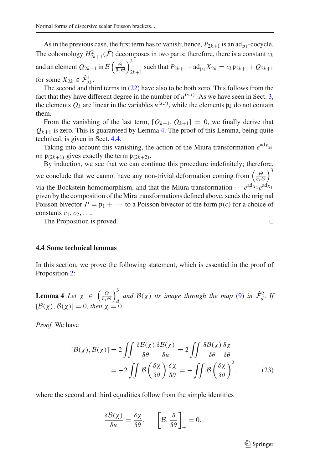As in the previous case, the first term has to vanish; hence,  $P_{2k+1}$  is an ad<sub>p<sub>1</sub></sub>-cocycle. The cohomology  $H_{2k+1}^2(\hat{\mathcal{F}})$  decomposes in two parts; therefore, there is a constant  $c_k$ and an element  $Q_{2k+1}$  in  $\mathcal{B}\left(\frac{\Theta}{\partial_{x}\Theta}\right)$  $\lambda^3$  $2k+1$  such that  $P_{2k+1}$  +  $\text{ad}_{\mathfrak{p}_1} X_{2k} = c_k \mathfrak{p}_{2k+1} + Q_{2k+1}$ for some  $X_{2k} \in \hat{\mathcal{F}}_{2k}^1$ .

The second and third terms in [\(22\)](#page-13-1) have also to be both zero. This follows from the fact that they have different degree in the number of  $u^{(s,t)}$ . As we have seen in Sect. [3,](#page-6-0) the elements  $Q_k$  are linear in the variables  $u^{(s,t)}$ , while the elements  $\mathfrak{p}_k$  do not contain them.

<span id="page-15-1"></span>From the vanishing of the last term,  $[Q_{k+1}, Q_{k+1}] = 0$ , we finally derive that  $Q_{k+1}$  is zero. This is guaranteed by Lemma [4.](#page-14-1) The proof of this Lemma, being quite technical, is given in Sect. [4.4.](#page-14-0)

Taking into account this vanishing, the action of the Miura transformation  $e^{ad_{X_{2k}}}$ on  $\mathfrak{p}_{(2k+1)}$  gives exactly the term  $\mathfrak{p}_{(2k+2)}$ .

By induction, we see that we can continue this procedure indefinitely; therefore, we conclude that we cannot have any non-trivial deformation coming from  $\left(\frac{\Theta}{\partial x \Theta}\right)$  $\lambda^3$ via the Bockstein homomorphism, and that the Miura transformation  $\cdots e^{ad_{X_2}}e^{ad_{X_1}}$ given by the composition of the Mira transformations defined above, sends the original Poisson bivector  $P = \mathfrak{p}_1 + \cdots$  to a Poisson bivector of the form  $\mathfrak{p}(c)$  for a choice of constants  $c_1, c_2, \ldots$ 

The Proposition is proved. □

#### **4.4 Some technical lemmas**

In this section, we prove the following statement, which is essential in the proof of Proposition [2:](#page-12-0)

**Lemma 4** *Let*  $\chi \in \left(\frac{\Theta}{\partial x}\right)$  $\lambda^3$ and  $\mathcal{B}(\chi)$  *its image through the map* [\(9\)](#page-7-1) *in*  $\hat{\mathcal{F}}_d^2$ . If  $[\mathcal{B}(\chi), \mathcal{B}(\chi)] = 0$ , then  $\chi = 0$ .

*Proof* We have

$$
[\mathcal{B}(\chi), \mathcal{B}(\chi)] = 2 \iint \frac{\delta \mathcal{B}(\chi)}{\delta \theta} \frac{\delta \mathcal{B}(\chi)}{\delta u} = 2 \iint \frac{\delta \mathcal{B}(\chi)}{\delta \theta} \frac{\delta \chi}{\delta \theta}
$$

$$
= -2 \iint \mathcal{B} \left( \frac{\delta \chi}{\delta \theta} \right) \frac{\delta \chi}{\delta \theta} = -\iint \mathcal{B} \left( \frac{\delta \chi}{\delta \theta} \right)^2, \tag{23}
$$

<span id="page-15-0"></span>where the second and third equalities follow from the simple identities

$$
\frac{\delta \mathcal{B}(\chi)}{\delta u} = \frac{\delta \chi}{\delta \theta}, \qquad \left[ \mathcal{B}, \frac{\delta}{\delta \theta} \right]_+ = 0.
$$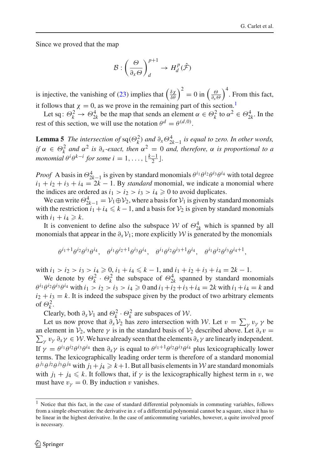Since we proved that the map

$$
\mathcal{B}:\left(\frac{\Theta}{\partial_x \Theta}\right)^{p+1}_d \to H^p_d(\hat{\mathcal{F}})
$$

is injective, the vanishing of [\(23\)](#page-14-2) implies that  $\left(\frac{\delta \chi}{\delta \theta}\right)^2 = 0$  in  $\left(\frac{\Theta}{\delta x \Theta}\right)^2$  $\int_{0}^{4}$ . From this fact, it follows that  $\chi = 0$ , as we prove in the remaining part of this section.<sup>[1](#page-15-0)</sup>

Let sq:  $\Theta_k^2 \to \Theta_{2k}^4$  be the map that sends an element  $\alpha \in \Theta_k^2$  to  $\alpha^2 \in \Theta_{2k}^4$ . In the rest of this section, we will use the notation  $\theta^d = \theta^{(d,0)}$ .

**Lemma 5** *The intersection of*  $sq(\Theta_k^2)$  *and*  $\partial_x \Theta_{2k-1}^4$  *is equal to zero. In other words, if*  $\alpha \in \Theta_k^2$  and  $\alpha^2$  *is*  $\partial_x$ -exact, then  $\alpha^2 = 0$  and, therefore,  $\alpha$  *is proportional to a monomial*  $\theta^{i} \theta^{k-i}$  *for some*  $i = 1, \ldots, \lfloor \frac{k-1}{2} \rfloor$ *.* 

*Proof* A basis in  $\Theta_{2k-1}^4$  is given by standard monomials  $\theta^{i_1} \theta^{i_2} \theta^{i_3} \theta^{i_4}$  with total degree  $i_1 + i_2 + i_3 + i_4 = 2k - 1$ . By *standard* monomial, we indicate a monomial where the indices are ordered as  $i_1 > i_2 > i_3 > i_4 \geq 0$  to avoid duplicates.

We can write  $\Theta_{2k-1}^4 = \mathcal{V}_1 \oplus \mathcal{V}_2$ , where a basis for  $\mathcal{V}_1$  is given by standard monomials with the restriction  $i_1 + i_4 \leq k - 1$ , and a basis for  $\mathcal{V}_2$  is given by standard monomials with  $i_1 + i_4 \ge k$ .

It is convenient to define also the subspace  $W$  of  $\Theta_{2k}^4$  which is spanned by all monomials that appear in the  $\partial_x \mathcal{V}_1$ ; more explicitly W is generated by the monomials

$$
\theta^{i_1+1}\theta^{i_2}\theta^{i_3}\theta^{i_4}, \quad \theta^{i_1}\theta^{i_2+1}\theta^{i_3}\theta^{i_4}, \quad \theta^{i_1}\theta^{i_2}\theta^{i_3+1}\theta^{i_4}, \quad \theta^{i_1}\theta^{i_2}\theta^{i_3}\theta^{i_4+1},
$$

with  $i_1 > i_2 > i_3 > i_4 \geqslant 0$ ,  $i_1 + i_4 \leqslant k - 1$ , and  $i_1 + i_2 + i_3 + i_4 = 2k - 1$ .

We denote by  $\Theta_k^2 \cdot \Theta_k^2$  the subspace of  $\Theta_{2k}^4$  spanned by standard monomials  $\theta^{i_1} \theta^{i_2} \theta^{i_3} \theta^{i_4}$  with  $i_1 > i_2 > i_3 > i_4 \geq 0$  and  $i_1 + i_2 + i_3 + i_4 = 2k$  with  $i_1 + i_4 = k$  and  $i_2 + i_3 = k$ . It is indeed the subspace given by the product of two arbitrary elements of  $\Theta_k^2$ .

Clearly, both  $\partial_x \mathcal{V}_1$  and  $\Theta_k^2 \cdot \Theta_k^2$  are subspaces of W.

Let us now prove that  $\partial_x V_2$  has zero intersection with W. Let  $v = \sum_{\gamma} v_{\gamma} \gamma$  be  $\sum_{\gamma} v_{\gamma} \partial_x \gamma \in \mathcal{W}$ . We have already seen that the elements  $\partial_x \gamma$  are linearly independent. an element in  $\mathcal{V}_2$ , where  $\gamma$  is in the standard basis of  $\mathcal{V}_2$  described above. Let  $\partial_x v =$ If  $\gamma = \theta^{i_1} \theta^{i_2} \theta^{i_3} \theta^{i_4}$  then  $\partial_x \gamma$  is equal to  $\theta^{i_1+1} \theta^{i_2} \theta^{i_3} \theta^{i_4}$  plus lexicographically lower terms. The lexicographically leading order term is therefore of a standard monomial  $\theta^{j_1} \theta^{j_2} \theta^{j_3} \theta^{j_4}$  with  $j_1 + j_4 \geq k+1$ . But all basis elements in W are standard monomials with  $j_1 + j_4 \le k$ . It follows that, if  $\gamma$  is the lexicographically highest term in v, we must have  $v<sub>\gamma</sub> = 0$ . By induction v vanishes.

<sup>&</sup>lt;sup>1</sup> Notice that this fact, in the case of standard differential polynomials in commuting variables, follows from a simple observation: the derivative in *x* of a differential polynomial cannot be a square, since it has to be linear in the highest derivative. In the case of anticommuting variables, however, a quite involved proof is necessary.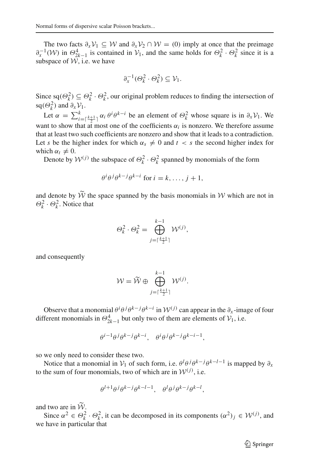The two facts  $\partial_x V_1 \subseteq W$  and  $\partial_x V_2 \cap W = (0)$  imply at once that the preimage  $\partial_x^{-1}(W)$  in  $\Theta_{2k-1}^4$  is contained in  $V_1$ , and the same holds for  $\Theta_k^2 \cdot \Theta_k^2$  since it is a subspace of  $W$ , i.e. we have

$$
\partial_x^{-1}(\Theta_k^2 \cdot \Theta_k^2) \subseteq \mathcal{V}_1.
$$

Since sq( $\Theta_k^2$ )  $\subseteq \Theta_k^2 \cdot \Theta_k^2$ , our original problem reduces to finding the intersection of sq( $\Theta_k^2$ ) and  $\partial_x \mathcal{V}_1$ . *k*

Let  $\alpha = \sum_{i=\lceil \frac{k+1}{2} \rceil}^k \alpha_i \theta^i \theta^{k-i}$  be an element of  $\Theta_k^2$  whose square is in  $\partial_x \mathcal{V}_1$ . We want to show that at most one of the coefficients  $\alpha_i$  is nonzero. We therefore assume that at least two such coefficients are nonzero and show that it leads to a contradiction. Let *s* be the higher index for which  $\alpha_s \neq 0$  and  $t < s$  the second higher index for which  $\alpha_t \neq 0$ .

Denote by  $W^{(j)}$  the subspace of  $\Theta_k^2 \cdot \Theta_k^2$  spanned by monomials of the form

$$
\theta^i \theta^j \theta^{k-j} \theta^{k-i} \text{ for } i = k, \dots, j+1,
$$

<span id="page-17-1"></span>and denote by  $\widetilde{W}$  the space spanned by the basis monomials in W which are not in  $\Theta_k^2 \cdot \Theta_k^2$ . Notice that

$$
\Theta_k^2 \cdot \Theta_k^2 = \bigoplus_{j=\lceil \frac{k+1}{2} \rceil}^{k-1} \mathcal{W}^{(j)},
$$

and consequently

$$
\mathcal{W} = \widetilde{\mathcal{W}} \oplus \bigoplus_{j=\lceil \frac{k+1}{2} \rceil}^{k-1} \mathcal{W}^{(j)}.
$$

Observe that a monomial  $\theta^i \theta^j \theta^{k-j} \theta^{k-i}$  in  $\mathcal{W}^{(j)}$  can appear in the  $\partial_x$ -image of four different monomials in  $\Theta_{2k-1}^4$  but only two of them are elements of  $\mathcal{V}_1$ , i.e.

$$
\theta^{i-1}\theta^j\theta^{k-j}\theta^{k-i},\quad \theta^i\theta^j\theta^{k-j}\theta^{k-i-1},
$$

so we only need to consider these two.

Notice that a monomial in  $V_1$  of such form, i.e.  $\theta^l \theta^j \theta^{k-j} \theta^{k-l-1}$  is mapped by  $\partial_x$ to the sum of four monomials, two of which are in  $W^{(j)}$ , i.e.

$$
\theta^{l+1} \theta^j \theta^{k-j} \theta^{k-l-1}, \quad \theta^l \theta^j \theta^{k-j} \theta^{k-l},
$$

and two are in  $\widetilde{W}$ .

<span id="page-17-0"></span>Since  $\alpha^2 \in \Theta_k^2 \cdot \Theta_k^2$ , it can be decomposed in its components  $(\alpha^2)_j \in \mathcal{W}^{(j)}$ , and we have in particular that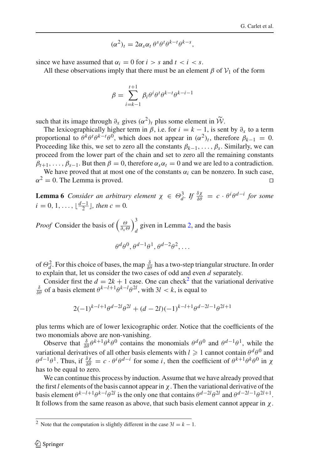$$
(\alpha^2)_t = 2\alpha_s \alpha_t \,\theta^s \theta^t \theta^{k-t} \theta^{k-s},
$$

since we have assumed that  $\alpha_i = 0$  for  $i > s$  and  $t < i < s$ .

All these observations imply that there must be an element  $\beta$  of  $\mathcal{V}_1$  of the form

$$
\beta = \sum_{i=k-1}^{t+1} \beta_i \theta^i \theta^i \theta^{k-i} \theta^{k-i-1}
$$

such that its image through  $\partial_x$  gives  $(\alpha^2)_t$  plus some element in  $\widetilde{W}$ .

The lexicographically higher term in  $\beta$ , i.e. for  $i = k - 1$ , is sent by  $\partial_x$  to a term proportional to  $\theta^k \theta^t \theta^{k-t} \theta^0$ , which does not appear in  $(\alpha^2)_t$ , therefore  $\beta_{k-1} = 0$ . Proceeding like this, we set to zero all the constants  $\beta_{k-1}, \ldots, \beta_s$ . Similarly, we can proceed from the lower part of the chain and set to zero all the remaining constants  $\beta_{t+1}, \ldots, \beta_{s-1}$ . But then  $\beta = 0$ , therefore  $\alpha_s \alpha_t = 0$  and we are led to a contradiction.

We have proved that at most one of the constants  $\alpha_i$  can be nonzero. In such case,  $\alpha^2 = 0$ . The Lemma is proved. □

<span id="page-18-0"></span>**Lemma 6** *Consider an arbitrary element*  $\chi \in \Theta_d^3$ . If  $\frac{\delta \chi}{\delta \theta} = c \cdot \theta^i \theta^{d-i}$  for some  $i = 0, 1, \ldots, \lfloor \frac{d-1}{2} \rfloor$ , then  $c = 0$ .

*Proof* Consider the basis of  $\left(\frac{\Theta}{\partial x \Theta}\right)$  $\lambda^3$ given in Lemma [2,](#page-8-2) and the basis  $d$ 

<span id="page-18-1"></span>
$$
\theta^d \theta^0, \theta^{d-1} \theta^1, \theta^{d-2} \theta^2, \dots
$$

<span id="page-18-3"></span>of  $\Theta_d^2$ . For this choice of bases, the map  $\frac{\delta}{\delta \theta}$  has a two-step triangular structure. In order to explain that, let us consider the two cases of odd and even *d* separately.

Consider first the  $d = 2k + 1$  $d = 2k + 1$  $d = 2k + 1$  case. One can check<sup>2</sup> that the variational derivative  $\frac{\delta}{\delta \theta}$  of a basis element  $\theta^{k-l+1} \theta^{k-l} \theta^{2l}$ , with  $3l < k$ , is equal to

<span id="page-18-2"></span>
$$
2(-1)^{k-l+1}\theta^{d-2l}\theta^{2l} + (d-2l)(-1)^{k-l+1}\theta^{d-2l-1}\theta^{2l+1}
$$

plus terms which are of lower lexicographic order. Notice that the coefficients of the two monomials above are non-vanishing.

Observe that  $\frac{\delta}{\delta \theta} \theta^{k+1} \theta^k \theta^0$  contains the monomials  $\theta^d \theta^0$  and  $\theta^{d-1} \theta^1$ , while the variational derivatives of all other basis elements with  $l \geqslant 1$  cannot contain  $\theta^d \theta^0$  and  $\theta^{d-1}\theta^1$ . Thus, if  $\frac{\delta \chi}{\delta \theta} = c \cdot \theta^i \theta^{d-i}$  for some *i*, then the coefficient of  $\theta^{k+1}\theta^k\theta^0$  in  $\chi$ has to be equal to zero.

We can continue this process by induction. Assume that we have already proved that the first *l* elements of the basis cannot appear in χ. Then the variational derivative of the basis element  $\theta^{k-l+1}\theta^{k-l}\theta^{2l}$  is the only one that contains  $\theta^{d-2l}\theta^{2l}$  and  $\theta^{d-2l-1}\theta^{2l+1}$ . It follows from the same reason as above, that such basis element cannot appear in  $\chi$ .

<sup>&</sup>lt;sup>2</sup> Note that the computation is slightly different in the case  $3l = k - 1$ .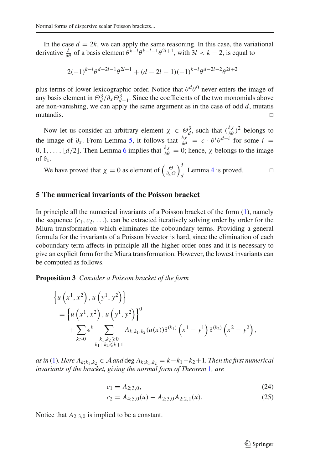In the case  $d = 2k$ , we can apply the same reasoning. In this case, the variational derivative  $\frac{\delta}{\delta \theta}$  of a basis element  $\theta^{k-l} \theta^{k-l-1} \theta^{2l+1}$ , with  $3l < k-2$ , is equal to

$$
2(-1)^{k-l}\theta^{d-2l-1}\theta^{2l+1} + (d-2l-1)(-1)^{k-l}\theta^{d-2l-2}\theta^{2l+2}
$$

plus terms of lower lexicographic order. Notice that  $\theta^d\theta^0$  never enters the image of any basis element in  $\Theta_d^3/\partial_x \Theta_{d-1}^3$ . Since the coefficients of the two monomials above are non-vanishing, we can apply the same argument as in the case of odd *d*, mutatis mutandis. ⊓⊔

Now let us consider an arbitrary element  $\chi \in \Theta_d^3$ , such that  $(\frac{\delta \chi}{\delta \theta})^2$  belongs to the image of  $\partial_x$ . From Lemma [5,](#page-15-1) it follows that  $\frac{\delta \chi}{\delta \theta} = c \cdot \theta^i \theta^{d-i}$  for some  $i =$  $0, 1, \ldots, \lfloor d/2 \rfloor$ . Then Lemma [6](#page-17-1) implies that  $\frac{\delta \chi}{\delta \theta} = 0$ ; hence,  $\chi$  belongs to the image of  $\partial_x$ .

We have proved that  $\chi = 0$  as element of  $\left(\frac{\Theta}{\partial x \Theta}\right)$  $\lambda^3$ . Lemma [4](#page-14-1) is proved. □

#### **5 The numerical invariants of the Poisson bracket**

<span id="page-19-0"></span>In principle all the numerical invariants of a Poisson bracket of the form [\(1\)](#page-1-1), namely the sequence  $(c_1, c_2, \ldots)$ , can be extracted iteratively solving order by order for the Miura transformation which eliminates the coboundary terms. Providing a general formula for the invariants of a Poisson bivector is hard, since the elimination of each coboundary term affects in principle all the higher-order ones and it is necessary to give an explicit form for the Miura transformation. However, the lowest invariants can be computed as follows.

**Proposition 3** *Consider a Poisson bracket of the form*

$$
\begin{aligned} &\left\{u\left(x^{1}, x^{2}\right), u\left(y^{1}, y^{2}\right)\right\} \\ &=\left\{u\left(x^{1}, x^{2}\right), u\left(y^{1}, y^{2}\right)\right\}^{0} \\ &+\sum_{k>0} \epsilon^{k} \sum_{\substack{k_{1}, k_{2} \geqslant 0 \\ k_{1}+k_{2} \leqslant k+1}} A_{k; k_{1}, k_{2}}(u(x)) \delta^{(k_{1})}\left(x^{1}-y^{1}\right) \delta^{(k_{2})}\left(x^{2}-y^{2}\right), \end{aligned}
$$

*as in* [\(1\)](#page-1-1)*. Here*  $A_{k;k_1,k_2}$  ∈  $A$  *and* deg  $A_{k;k_1,k_2} = k - k_1 - k_2 + 1$ *. Then the first numerical invariants of the bracket, giving the normal form of Theorem* [1](#page-2-4)*, are*

$$
c_1 = A_{2,3,0},\tag{24}
$$

$$
c_2 = A_{4,5,0}(u) - A_{2,3,0}A_{2,2,1}(u). \tag{25}
$$

Notice that  $A_{2:3,0}$  is implied to be a constant.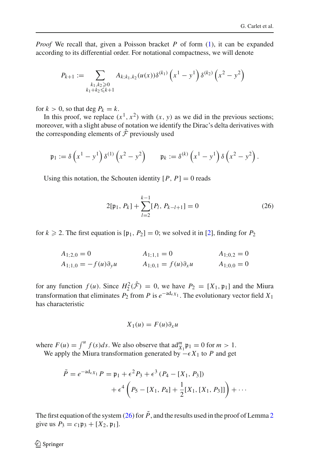*Proof* We recall that, given a Poisson bracket *P* of form [\(1\)](#page-1-1), it can be expanded according to its differential order. For notational compactness, we will denote

$$
P_{k+1} := \sum_{\substack{k_1, k_2 \geq 0 \\ k_1 + k_2 \leq k+1}} A_{k; k_1, k_2} (u(x)) \delta^{(k_1)} \left( x^1 - y^1 \right) \delta^{(k_2)} \left( x^2 - y^2 \right)
$$

for  $k > 0$ , so that deg  $P_k = k$ .

In this proof, we replace  $(x^1, x^2)$  with  $(x, y)$  as we did in the previous sections; moreover, with a slight abuse of notation we identify the Dirac's delta derivatives with the corresponding elements of  $\hat{\mathcal{F}}$  previously used

$$
\mathfrak{p}_1 := \delta\left(x^1 - y^1\right)\delta^{(1)}\left(x^2 - y^2\right) \qquad \mathfrak{p}_k := \delta^{(k)}\left(x^1 - y^1\right)\delta\left(x^2 - y^2\right).
$$

<span id="page-20-0"></span>Using this notation, the Schouten identity  $[P, P] = 0$  reads

$$
2[\mathfrak{p}_1, P_k] + \sum_{l=2}^{k-1} [P_l, P_{k-l+1}] = 0
$$
 (26)

for  $k \ge 2$ . The first equation is  $[p_1, P_2] = 0$ ; we solved it in [\[2](#page-23-1)], finding for  $P_2$ 

$$
A_{1;1,0} = 0
$$
  
\n
$$
A_{1;1,1} = 0
$$
  
\n
$$
A_{1;0,2} = 0
$$
  
\n
$$
A_{1;0,2} = 0
$$
  
\n
$$
A_{1;0,0} = -f(u)\partial_y u
$$
  
\n
$$
A_{1;0,0} = 0
$$
  
\n
$$
A_{1;0,0} = 0
$$

for any function  $f(u)$ . Since  $H_2^2(\hat{\mathcal{F}}) = 0$ , we have  $P_2 = [X_1, \mathfrak{p}_1]$  and the Miura transformation that eliminates  $P_2$  from  $P$  is  $e^{-ad_e x_1}$ . The evolutionary vector field  $X_1$ has characteristic

$$
X_1(u) = F(u)\partial_x u
$$

where  $F(u) = \int_{0}^{u} f(s)ds$ . We also observe that  $\text{ad}_{X_1}^{m} \mathfrak{p}_1 = 0$  for  $m > 1$ .

We apply the Miura transformation generated by  $-\epsilon X_1$  to *P* and get

$$
\tilde{P} = e^{-ad_{\epsilon X_1}} P = \mathfrak{p}_1 + \epsilon^2 P_3 + \epsilon^3 (P_4 - [X_1, P_3])
$$
  
+ 
$$
\epsilon^4 \left( P_5 - [X_1, P_4] + \frac{1}{2} [X_1, [X_1, P_3]] \right) + \cdots
$$

The first equation of the system [\(26\)](#page-19-0) for  $\tilde{P}$ , and the results used in the proof of Lemma [2](#page-12-0) give us  $P_3 = c_1 \mathfrak{p}_3 + [X_2, \mathfrak{p}_1].$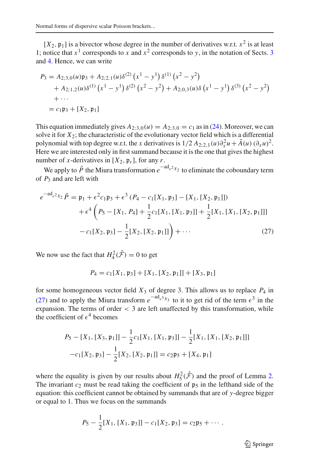$[X_2, \mathfrak{p}_1]$  is a bivector whose degree in the number of derivatives w.r.t.  $x^2$  is at least 1; notice that  $x^1$  corresponds to x and  $x^2$  corresponds to y, in the notation of Sects. [3](#page-6-0) and [4.](#page-9-0) Hence, we can write

<span id="page-21-1"></span>
$$
P_3 = A_{2,3,0}(u)\mathfrak{p}_3 + A_{2,2,1}(u)\delta^{(2)}(x^1 - y^1)\delta^{(1)}(x^2 - y^2)
$$
  
+  $A_{2,1,2}(u)\delta^{(1)}(x^1 - y^1)\delta^{(2)}(x^2 - y^2) + A_{2,0,3}(u)\delta(x^1 - y^1)\delta^{(3)}(x^2 - y^2)$   
+ ...  
=  $c_1\mathfrak{p}_3 + [X_2, \mathfrak{p}_1]$ 

<span id="page-21-0"></span>This equation immediately gives  $A_{2,3,0}(u) = A_{2,3,0} = c_1$  as in [\(24\)](#page-18-1). Moreover, we can solve it for  $X_2$ ; the characteristic of the evolutionary vector field which is a differential polynomial with top degree w.r.t. the *x* derivatives is  $1/2 A_{2,2,1}(u)\partial_x^2 u + \tilde{A}(u) (\partial_x u)^2$ . Here we are interested only in first summand because it is the one that gives the highest number of *x*-derivatives in  $[X_2, \mathfrak{p}_r]$ , for any *r*.

We apply to  $\tilde{P}$  the Miura transformation  $e^{-ad_{\epsilon^2}x_2}$  to eliminate the coboundary term of *P*<sup>3</sup> and are left with

$$
e^{-ad_{\epsilon^2 X_2}} \tilde{P} = \mathfrak{p}_1 + \epsilon^2 c_1 \mathfrak{p}_3 + \epsilon^3 (P_4 - c_1 [X_1, \mathfrak{p}_3] - [X_1, [X_2, \mathfrak{p}_1]])
$$
  
+ 
$$
\epsilon^4 \left( P_5 - [X_1, P_4] + \frac{1}{2} c_1 [X_1, [X_1, \mathfrak{p}_3]] + \frac{1}{2} [X_1, [X_1, [X_2, \mathfrak{p}_1]]] - c_1 [X_2, \mathfrak{p}_3] - \frac{1}{2} [X_2, [X_2, \mathfrak{p}_1]] \right) + \cdots
$$
 (27)

We now use the fact that  $H_4^2(\hat{\mathcal{F}}) = 0$  to get

$$
P_4 = c_1[X_1, \mathfrak{p}_3] + [X_1, [X_2, \mathfrak{p}_1]] + [X_3, \mathfrak{p}_1]
$$

for some homogeneous vector field *X*<sup>3</sup> of degree 3. This allows us to replace *P*<sup>4</sup> in [\(27\)](#page-20-0) and to apply the Miura transform  $e^{-\text{ad}_{\epsilon^3}x_3}$  to it to get rid of the term  $\epsilon^3$  in the expansion. The terms of order  $\lt$  3 are left unaffected by this transformation, while the coefficient of  $\epsilon^4$  becomes

$$
P_5 - [X_1, [X_3, \mathfrak{p}_1]] - \frac{1}{2} c_1 [X_1, [X_1, \mathfrak{p}_3]] - \frac{1}{2} [X_1, [X_1, [X_2, \mathfrak{p}_1]]]
$$

$$
-c_1 [X_2, \mathfrak{p}_3] - \frac{1}{2} [X_2, [X_2, \mathfrak{p}_1]] = c_2 \mathfrak{p}_5 + [X_4, \mathfrak{p}_1]
$$

where the equality is given by our results about  $H_5^2(\hat{F})$  and the proof of Lemma [2.](#page-12-0) The invariant  $c_2$  must be read taking the coefficient of  $\mathfrak{p}_5$  in the lefthand side of the equation: this coefficient cannot be obtained by summands that are of *y*-degree bigger or equal to 1. Thus we focus on the summands

$$
P_5-\frac{1}{2}[X_1,[X_1,\mathfrak{p}_3]]-c_1[X_2,\mathfrak{p}_3]=c_2\mathfrak{p}_5+\cdots.
$$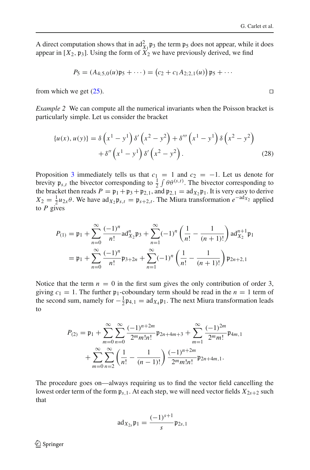A direct computation shows that in  $ad_{X_1}^2 p_3$  the term  $p_5$  does not appear, while it does appear in  $[X_2, \mathfrak{p}_3]$ . Using the form of  $X_2$  we have previously derived, we find

$$
P_5 = (A_{4;5,0}(u)\mathfrak{p}_5 + \cdots) = (c_2 + c_1 A_{2;2,1}(u)) \mathfrak{p}_5 + \cdots
$$

from which we get [\(25\)](#page-18-2). □

*Example 2* We can compute all the numerical invariants when the Poisson bracket is particularly simple. Let us consider the bracket

$$
\{u(x), u(y)\} = \delta\left(x^1 - y^1\right)\delta'\left(x^2 - y^2\right) + \delta''' \left(x^1 - y^1\right)\delta\left(x^2 - y^2\right) + \delta'' \left(x^1 - y^1\right)\delta'\left(x^2 - y^2\right). \tag{28}
$$

Proposition [3](#page-18-3) immediately tells us that  $c_1 = 1$  and  $c_2 = -1$ . Let us denote for brevity  $\mathfrak{p}_{s,t}$  the bivector corresponding to  $\frac{1}{2} \int \theta \theta^{(s,t)}$ . The bivector corresponding to the bracket then reads  $P = \mathfrak{p}_1 + \mathfrak{p}_3 + \mathfrak{p}_{2,1}$ , and  $\mathfrak{p}_{2,1} = \text{ad}_{X_2} \mathfrak{p}_1$ . It is very easy to derive  $X_2 = \frac{1}{2}u_{2x}\theta$ . We have  $\text{ad}_{X_2}\mathfrak{p}_{s,t} = \mathfrak{p}_{s+2,t}$ . The Miura transformation  $e^{-\text{ad}_{X_2}}$  applied to *P* gives

$$
P_{(1)} = \mathfrak{p}_1 + \sum_{n=0}^{\infty} \frac{(-1)^n}{n!} \text{ad}_{X_2}^n \mathfrak{p}_3 + \sum_{n=1}^{\infty} (-1)^n \left(\frac{1}{n!} - \frac{1}{(n+1)!}\right) \text{ad}_{X_2}^{n+1} \mathfrak{p}_1
$$
  
=  $\mathfrak{p}_1 + \sum_{n=0}^{\infty} \frac{(-1)^n}{n!} \mathfrak{p}_{3+2n} + \sum_{n=1}^{\infty} (-1)^n \left(\frac{1}{n!} - \frac{1}{(n+1)!}\right) \mathfrak{p}_{2n+2,1}$ 

Notice that the term  $n = 0$  in the first sum gives the only contribution of order 3, giving  $c_1 = 1$ . The further  $\mathfrak{p}_1$ -coboundary term should be read in the  $n = 1$  term of the second sum, namely for  $-\frac{1}{2}\mathfrak{p}_{4,1} = \text{ad}_{X_4}\mathfrak{p}_1$ . The next Miura transformation leads to

$$
P_{(2)} = \mathfrak{p}_1 + \sum_{m=0}^{\infty} \sum_{n=0}^{\infty} \frac{(-1)^{n+2m}}{2^m m! n!} \mathfrak{p}_{2n+4m+3} + \sum_{m=1}^{\infty} \frac{(-1)^{2m}}{2^m m!} \mathfrak{p}_{4m,1} + \sum_{m=0}^{\infty} \sum_{n=2}^{\infty} \left(\frac{1}{n!} - \frac{1}{(n-1)!}\right) \frac{(-1)^{n+2m}}{2^m m! n!} \mathfrak{p}_{2n+4m,1}.
$$

The procedure goes on—always requiring us to find the vector field cancelling the lowest order term of the form  $\mathfrak{p}_{s,1}$ . At each step, we will need vector fields  $X_{2s+2}$  such that

$$
ad_{X_{2s}}\mathfrak{p}_1=\frac{(-1)^{s+1}}{s}\mathfrak{p}_{2s,1}
$$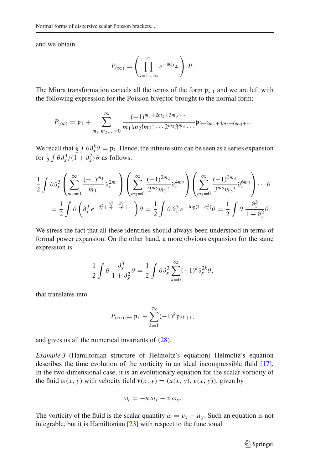and we obtain

$$
P_{(\infty)} = \left(\prod_{s=1...\infty}^{\curvearrowleft} e^{-\mathrm{ad}_{X_{2s}}}\right) P.
$$

<span id="page-23-9"></span>The Miura transformation cancels all the terms of the form  $p_{s,1}$  and we are left with the following expression for the Poisson bivector brought to the normal form:

$$
P_{(\infty)} = \mathfrak{p}_1 + \sum_{m_1, m_2, \dots = 0}^{\infty} \frac{(-1)^{m_1 + 2m_2 + 3m_3 + \dots}}{m_1! m_2! m_3! \dots 2^{m_2} 3^{m_3} \dots} \mathfrak{p}_{3+2m_1 + 4m_2 + 6m_3 + \dots}
$$

We recall that  $\frac{1}{2} \int \theta \partial_x^k \theta = \mathfrak{p}_k$ . Hence, the infinite sum can be seen as a series expansion for  $\frac{1}{2} \int \theta \partial_x^3 / (1 + \partial_x^2) \theta$  as follows:

<span id="page-23-10"></span>
$$
\frac{1}{2} \int \theta \partial_x^3 \left( \sum_{m_1=0}^{\infty} \frac{(-1)^{m_1}}{m_1!} \partial_x^{2m_1} \right) \left( \sum_{m_2=0}^{\infty} \frac{(-1)^{2m_2}}{2^{m_2} m_2!} \partial_x^{4m_2} \right) \left( \sum_{m_3=0}^{\infty} \frac{(-1)^{3m_3}}{3^{m_2} m_3!} \partial_x^{6m_3} \right) \cdots \theta
$$

$$
= \frac{1}{2} \int \theta \left( \partial_x^3 e^{-\partial_x^2 + \frac{\partial_x^4}{2} - \frac{\partial_x^6}{3} + \cdots} \right) \theta = \frac{1}{2} \int \theta \partial_x^3 e^{-\log(1 + \partial_x^2)} \theta = \frac{1}{2} \int \theta \frac{\partial_x^3}{1 + \partial_x^2} \theta.
$$

We stress the fact that all these identities should always been understood in terms of formal power expansion. On the other hand, a more obvious expansion for the same expression is

$$
\frac{1}{2} \int \theta \frac{\partial_x^3}{1 + \partial_x^2} \theta = \frac{1}{2} \int \theta \partial_x^3 \sum_{k=0}^{\infty} (-1)^k \partial_x^{2k} \theta,
$$

<span id="page-23-0"></span>that translates into

$$
P_{(\infty)} = \mathfrak{p}_1 - \sum_{k=1}^{\infty} (-1)^k \mathfrak{p}_{2k+1},
$$

<span id="page-23-3"></span><span id="page-23-1"></span>and gives us all the numerical invariants of [\(28\)](#page-21-0).

<span id="page-23-6"></span><span id="page-23-5"></span><span id="page-23-4"></span>*Example 3* (Hamiltonian structure of Helmoltz's equation) Helmoltz's equation describes the time evolution of the vorticity in an ideal incompressible fluid [\[17](#page-24-14)]. In the two-dimensional case, it is an evolutionary equation for the scalar vorticity of the fluid  $\omega(x, y)$  with velocity field  $\mathbf{v}(x, y) = (u(x, y), v(x, y))$ , given by

$$
\omega_t = -u \omega_x - v \omega_y.
$$

<span id="page-23-8"></span><span id="page-23-7"></span><span id="page-23-2"></span>The vorticity of the fluid is the scalar quantity  $\omega = v_x - u_y$ . Such an equation is not integrable, but it is Hamiltonian  $[23]$  with respect to the functional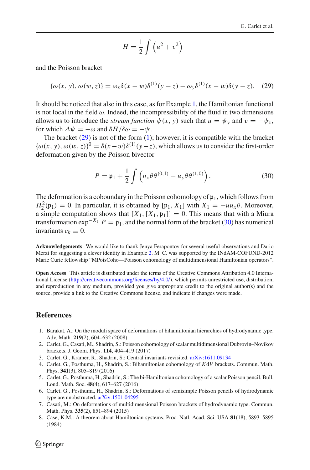$$
H = \frac{1}{2} \int \left( u^2 + v^2 \right)
$$

<span id="page-24-12"></span><span id="page-24-9"></span><span id="page-24-7"></span>and the Poisson bracket

$$
\{\omega(x, y), \omega(w, z)\} = \omega_x \delta(x - w) \delta^{(1)}(y - z) - \omega_y \delta^{(1)}(x - w) \delta(y - z). \tag{29}
$$

<span id="page-24-1"></span><span id="page-24-0"></span>It should be noticed that also in this case, as for Example [1,](#page-2-5) the Hamiltonian functional is not local in the field  $\omega$ . Indeed, the incompressibility of the fluid in two dimensions allows us to introduce the *stream function*  $\psi(x, y)$  such that  $u = \psi_y$  and  $v = -\psi_x$ , for which  $\Delta \psi = -\omega$  and  $\delta H/\delta \omega = -\psi$ .

<span id="page-24-14"></span><span id="page-24-10"></span><span id="page-24-8"></span><span id="page-24-2"></span>The bracket [\(29\)](#page-23-9) is not of the form [\(1\)](#page-1-1); however, it is compatible with the bracket  ${\{\omega(x, y), \omega(w, z)\}}^0 = \delta(x - w)\delta^{(1)}(y - z)$ , which allows us to consider the first-order deformation given by the Poisson bivector

$$
P = \mathfrak{p}_1 + \frac{1}{2} \int \left( u_x \theta \theta^{(0,1)} - u_y \theta \theta^{(1,0)} \right).
$$
 (30)

<span id="page-24-13"></span><span id="page-24-11"></span><span id="page-24-5"></span><span id="page-24-3"></span>The deformation is a coboundary in the Poisson cohomology of  $\mathfrak{p}_1$ , which follows from  $H_2^2(\mathfrak{p}_1) = 0$ . In particular, it is obtained by [ $\mathfrak{p}_1$ , *X*<sub>1</sub>] with *X*<sub>1</sub> = −*uu<sub>x</sub>* θ. Moreover, a simple computation shows that  $[X_1,[X_1,\mathfrak{p}_1]] = 0$ . This means that with a Miura transformation  $\exp^{-X_1} P = \mathfrak{p}_1$ , and the normal form of the bracket [\(30\)](#page-23-10) has numerical invariants  $c_k \equiv 0$ .

<span id="page-24-15"></span><span id="page-24-6"></span><span id="page-24-4"></span>**Acknowledgements** We would like to thank Jenya Ferapontov for several useful observations and Dario Merzi for suggesting a clever identity in Example [2.](#page-21-1) M. C. was supported by the INdAM-COFUND-2012 Marie Curie fellowship "MPoisCoho—Poisson cohomology of multidimensional Hamiltonian operators".

**Open Access** This article is distributed under the terms of the Creative Commons Attribution 4.0 International License [\(http://creativecommons.org/licenses/by/4.0/\)](http://creativecommons.org/licenses/by/4.0/), which permits unrestricted use, distribution, and reproduction in any medium, provided you give appropriate credit to the original author(s) and the source, provide a link to the Creative Commons license, and indicate if changes were made.

#### **References**

- 1. Barakat, A.: On the moduli space of deformations of bihamiltonian hierarchies of hydrodynamic type. Adv. Math. **219**(2), 604–632 (2008)
- 2. Carlet, G., Casati, M., Shadrin, S.: Poisson cohomology of scalar multidimensional Dubrovin–Novikov brackets. J. Geom. Phys. **114**, 404–419 (2017)
- 3. Carlet, G., Kramer, R., Shadrin, S.: Central invariants revisited. [arXiv:1611.09134](http://arxiv.org/abs/1611.09134)
- 4. Carlet, G., Posthuma, H., Shadrin, S.: Bihamiltonian cohomology of *K*d*V* brackets. Commun. Math. Phys. **341**(3), 805–819 (2016)
- 5. Carlet, G., Posthuma, H., Shadrin, S.: The bi-Hamiltonian cohomology of a scalar Poisson pencil. Bull. Lond. Math. Soc. **48**(4), 617–627 (2016)
- 6. Carlet, G., Posthuma, H., Shadrin, S.: Deformations of semisimple Poisson pencils of hydrodynamic type are unobstructed. [arXiv:1501.04295](http://arxiv.org/abs/1501.04295)
- 7. Casati, M.: On deformations of multidimensional Poisson brackets of hydrodynamic type. Commun. Math. Phys. **335**(2), 851–894 (2015)
- 8. Case, K.M.: A theorem about Hamiltonian systems. Proc. Natl. Acad. Sci. USA **81**(18), 5893–5895 (1984)